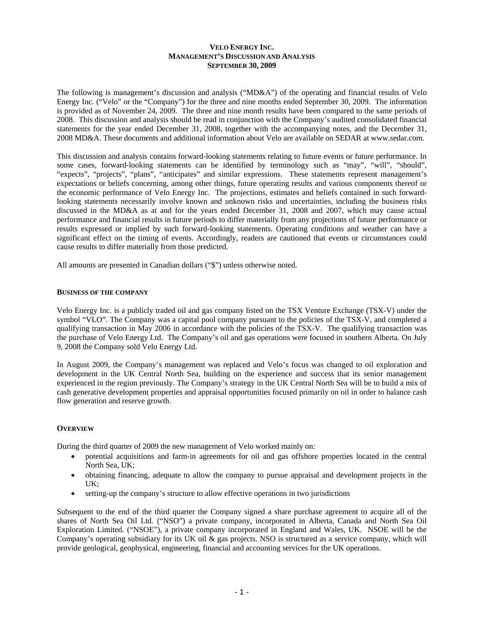## **VELO ENERGY INC. MANAGEMENT'S DISCUSSION AND ANALYSIS SEPTEMBER 30, 2009**

The following is management's discussion and analysis ("MD&A") of the operating and financial results of Velo Energy Inc. ("Velo" or the "Company") for the three and nine months ended September 30, 2009. The information is provided as of November 24, 2009. The three and nine month results have been compared to the same periods of 2008. This discussion and analysis should be read in conjunction with the Company's audited consolidated financial statements for the year ended December 31, 2008, together with the accompanying notes, and the December 31, 2008 MD&A. These documents and additional information about Velo are available on SEDAR at [www.sedar.com.](http://www.sedar.com/)

This discussion and analysis contains forward-looking statements relating to future events or future performance. In some cases, forward-looking statements can be identified by terminology such as "may", "will", "should", "expects", "projects", "plans", "anticipates" and similar expressions. These statements represent management's expectations or beliefs concerning, among other things, future operating results and various components thereof or the economic performance of Velo Energy Inc. The projections, estimates and beliefs contained in such forwardlooking statements necessarily involve known and unknown risks and uncertainties, including the business risks discussed in the MD&A as at and for the years ended December 31, 2008 and 2007, which may cause actual performance and financial results in future periods to differ materially from any projections of future performance or results expressed or implied by such forward-looking statements. Operating conditions and weather can have a significant effect on the timing of events. Accordingly, readers are cautioned that events or circumstances could cause results to differ materially from those predicted.

All amounts are presented in Canadian dollars ("\$") unless otherwise noted.

## **BUSINESS OF THE COMPANY**

Velo Energy Inc. is a publicly traded oil and gas company listed on the TSX Venture Exchange (TSX-V) under the symbol "VLO". The Company was a capital pool company pursuant to the policies of the TSX-V, and completed a qualifying transaction in May 2006 in accordance with the policies of the TSX-V. The qualifying transaction was the purchase of Velo Energy Ltd. The Company's oil and gas operations were focused in southern Alberta. On July 9, 2008 the Company sold Velo Energy Ltd.

In August 2009, the Company's management was replaced and Velo's focus was changed to oil exploration and development in the UK Central North Sea, building on the experience and success that its senior management experienced in the region previously. The Company's strategy in the UK Central North Sea will be to build a mix of cash generative development properties and appraisal opportunities focused primarily on oil in order to balance cash flow generation and reserve growth.

## **OVERVIEW**

During the third quarter of 2009 the new management of Velo worked mainly on:

- potential acquisitions and farm-in agreements for oil and gas offshore properties located in the central North Sea, UK;
- obtaining financing, adequate to allow the company to pursue appraisal and development projects in the UK;
- setting-up the company's structure to allow effective operations in two jurisdictions

Subsequent to the end of the third quarter the Company signed a share purchase agreement to acquire all of the shares of North Sea Oil Ltd. ("NSO") a private company, incorporated in Alberta, Canada and North Sea Oil Exploration Limited. ("NSOE"), a private company incorporated in England and Wales, UK. NSOE will be the Company's operating subsidiary for its UK oil & gas projects. NSO is structured as a service company, which will provide geological, geophysical, engineering, financial and accounting services for the UK operations.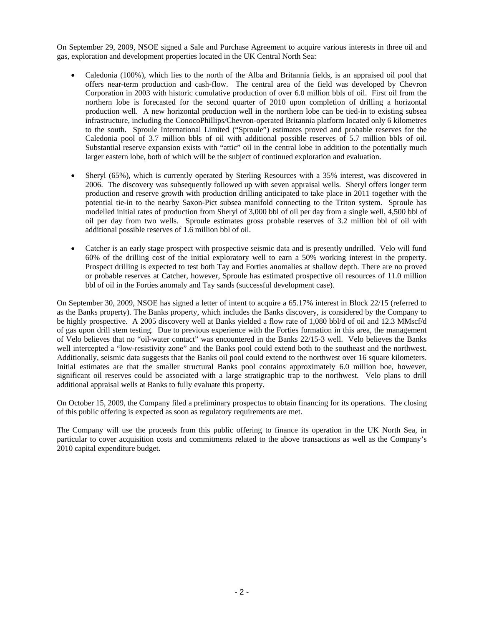On September 29, 2009, NSOE signed a Sale and Purchase Agreement to acquire various interests in three oil and gas, exploration and development properties located in the UK Central North Sea:

- Caledonia (100%), which lies to the north of the Alba and Britannia fields, is an appraised oil pool that offers near-term production and cash-flow. The central area of the field was developed by Chevron Corporation in 2003 with historic cumulative production of over 6.0 million bbls of oil. First oil from the northern lobe is forecasted for the second quarter of 2010 upon completion of drilling a horizontal production well. A new horizontal production well in the northern lobe can be tied-in to existing subsea infrastructure, including the ConocoPhillips/Chevron-operated Britannia platform located only 6 kilometres to the south. Sproule International Limited ("Sproule") estimates proved and probable reserves for the Caledonia pool of 3.7 million bbls of oil with additional possible reserves of 5.7 million bbls of oil. Substantial reserve expansion exists with "attic" oil in the central lobe in addition to the potentially much larger eastern lobe, both of which will be the subject of continued exploration and evaluation.
- Sheryl (65%), which is currently operated by Sterling Resources with a 35% interest, was discovered in 2006. The discovery was subsequently followed up with seven appraisal wells. Sheryl offers longer term production and reserve growth with production drilling anticipated to take place in 2011 together with the potential tie-in to the nearby Saxon-Pict subsea manifold connecting to the Triton system. Sproule has modelled initial rates of production from Sheryl of 3,000 bbl of oil per day from a single well, 4,500 bbl of oil per day from two wells. Sproule estimates gross probable reserves of 3.2 million bbl of oil with additional possible reserves of 1.6 million bbl of oil.
- Catcher is an early stage prospect with prospective seismic data and is presently undrilled. Velo will fund 60% of the drilling cost of the initial exploratory well to earn a 50% working interest in the property. Prospect drilling is expected to test both Tay and Forties anomalies at shallow depth. There are no proved or probable reserves at Catcher, however, Sproule has estimated prospective oil resources of 11.0 million bbl of oil in the Forties anomaly and Tay sands (successful development case).

On September 30, 2009, NSOE has signed a letter of intent to acquire a 65.17% interest in Block 22/15 (referred to as the Banks property). The Banks property, which includes the Banks discovery, is considered by the Company to be highly prospective. A 2005 discovery well at Banks yielded a flow rate of 1,080 bbl/d of oil and 12.3 MMscf/d of gas upon drill stem testing. Due to previous experience with the Forties formation in this area, the management of Velo believes that no "oil-water contact" was encountered in the Banks 22/15-3 well. Velo believes the Banks well intercepted a "low-resistivity zone" and the Banks pool could extend both to the southeast and the northwest. Additionally, seismic data suggests that the Banks oil pool could extend to the northwest over 16 square kilometers. Initial estimates are that the smaller structural Banks pool contains approximately 6.0 million boe, however, significant oil reserves could be associated with a large stratigraphic trap to the northwest. Velo plans to drill additional appraisal wells at Banks to fully evaluate this property.

On October 15, 2009, the Company filed a preliminary prospectus to obtain financing for its operations. The closing of this public offering is expected as soon as regulatory requirements are met.

The Company will use the proceeds from this public offering to finance its operation in the UK North Sea, in particular to cover acquisition costs and commitments related to the above transactions as well as the Company's 2010 capital expenditure budget.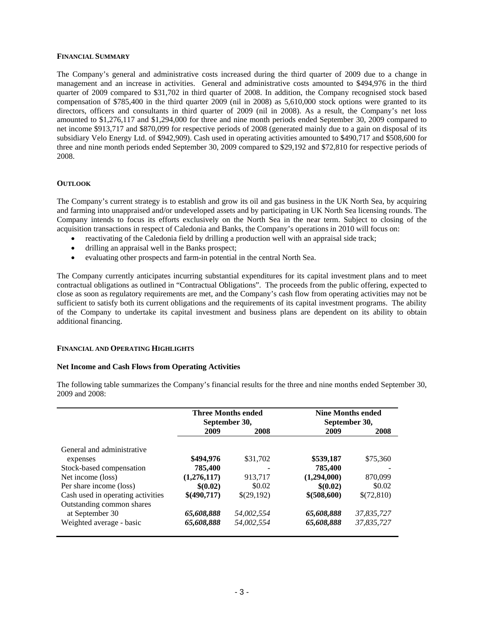## **FINANCIAL SUMMARY**

The Company's general and administrative costs increased during the third quarter of 2009 due to a change in management and an increase in activities. General and administrative costs amounted to \$494,976 in the third quarter of 2009 compared to \$31,702 in third quarter of 2008. In addition, the Company recognised stock based compensation of \$785,400 in the third quarter 2009 (nil in 2008) as 5,610,000 stock options were granted to its directors, officers and consultants in third quarter of 2009 (nil in 2008). As a result, the Company's net loss amounted to \$1,276,117 and \$1,294,000 for three and nine month periods ended September 30, 2009 compared to net income \$913,717 and \$870,099 for respective periods of 2008 (generated mainly due to a gain on disposal of its subsidiary Velo Energy Ltd. of \$942,909). Cash used in operating activities amounted to \$490,717 and \$508,600 for three and nine month periods ended September 30, 2009 compared to \$29,192 and \$72,810 for respective periods of 2008.

## **OUTLOOK**

The Company's current strategy is to establish and grow its oil and gas business in the UK North Sea, by acquiring and farming into unappraised and/or undeveloped assets and by participating in UK North Sea licensing rounds. The Company intends to focus its efforts exclusively on the North Sea in the near term. Subject to closing of the acquisition transactions in respect of Caledonia and Banks, the Company's operations in 2010 will focus on:

- reactivating of the Caledonia field by drilling a production well with an appraisal side track;
- drilling an appraisal well in the Banks prospect;
- evaluating other prospects and farm-in potential in the central North Sea.

The Company currently anticipates incurring substantial expenditures for its capital investment plans and to meet contractual obligations as outlined in "Contractual Obligations". The proceeds from the public offering, expected to close as soon as regulatory requirements are met, and the Company's cash flow from operating activities may not be sufficient to satisfy both its current obligations and the requirements of its capital investment programs. The ability of the Company to undertake its capital investment and business plans are dependent on its ability to obtain additional financing.

#### **FINANCIAL AND OPERATING HIGHLIGHTS**

#### **Net Income and Cash Flows from Operating Activities**

The following table summarizes the Company's financial results for the three and nine months ended September 30, 2009 and 2008:

|                                   | <b>Three Months ended</b><br>September 30, |            | <b>Nine Months ended</b><br>September 30, |            |  |
|-----------------------------------|--------------------------------------------|------------|-------------------------------------------|------------|--|
|                                   | 2009                                       | 2008       | 2009                                      | 2008       |  |
| General and administrative        |                                            |            |                                           |            |  |
| expenses                          | \$494,976                                  | \$31,702   | \$539,187                                 | \$75,360   |  |
| Stock-based compensation          | 785,400                                    |            | 785,400                                   |            |  |
| Net income (loss)                 | (1,276,117)                                | 913.717    | (1,294,000)                               | 870,099    |  |
| Per share income (loss)           | \$(0.02)                                   | \$0.02     | \$(0.02)                                  | \$0.02     |  |
| Cash used in operating activities | \$(490,717)                                | \$(29,192) | \$(508,600)                               | \$(72,810) |  |
| Outstanding common shares         |                                            |            |                                           |            |  |
| at September 30                   | 65,608,888                                 | 54,002,554 | 65,608,888                                | 37,835,727 |  |
| Weighted average - basic          | 65,608,888                                 | 54.002.554 | 65,608,888                                | 37.835.727 |  |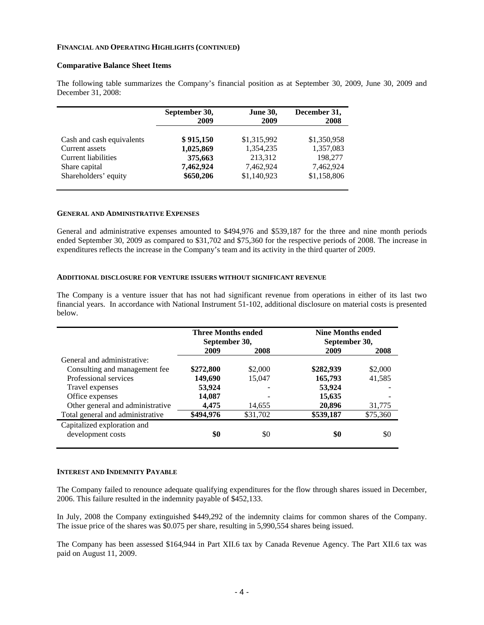## FINANCIAL AND OPERATING HIGHLIGHTS (CONTINUED)

#### **Comparative Balance Sheet Items**

The following table summarizes the Company's financial position as at September 30, 2009, June 30, 2009 and December 31, 2008:

| September 30,<br>2009 | <b>June 30,</b><br>2009 | December 31,<br>2008 |
|-----------------------|-------------------------|----------------------|
|                       |                         | \$1,350,958          |
|                       | 1.354.235               | 1,357,083            |
| 375,663               | 213,312                 | 198,277              |
| 7,462,924             | 7,462,924               | 7,462,924            |
| \$650,206             | \$1,140,923             | \$1,158,806          |
|                       | \$915,150<br>1,025,869  | \$1,315,992          |

#### **GENERAL AND ADMINISTRATIVE EXPENSES**

General and administrative expenses amounted to \$494,976 and \$539,187 for the three and nine month periods ended September 30, 2009 as compared to \$31,702 and \$75,360 for the respective periods of 2008. The increase in expenditures reflects the increase in the Company's team and its activity in the third quarter of 2009.

#### **ADDITIONAL DISCLOSURE FOR VENTURE ISSUERS WITHOUT SIGNIFICANT REVENUE**

The Company is a venture issuer that has not had significant revenue from operations in either of its last two financial years. In accordance with National Instrument 51-102, additional disclosure on material costs is presented below.

|                                                  | <b>Three Months ended</b><br>September 30, |          | <b>Nine Months ended</b><br>September 30, |          |
|--------------------------------------------------|--------------------------------------------|----------|-------------------------------------------|----------|
|                                                  | 2009                                       | 2008     | 2009                                      | 2008     |
| General and administrative:                      |                                            |          |                                           |          |
| Consulting and management fee                    | \$272,800                                  | \$2,000  | \$282,939                                 | \$2,000  |
| Professional services                            | 149,690                                    | 15.047   | 165,793                                   | 41,585   |
| Travel expenses                                  | 53,924                                     |          | 53,924                                    |          |
| Office expenses                                  | 14,087                                     |          | 15,635                                    |          |
| Other general and administrative                 | 4,475                                      | 14,655   | 20,896                                    | 31,775   |
| Total general and administrative                 | \$494,976                                  | \$31,702 | \$539,187                                 | \$75,360 |
| Capitalized exploration and<br>development costs | \$0                                        | \$0      | \$0                                       | \$0      |

## **INTEREST AND INDEMNITY PAYABLE**

The Company failed to renounce adequate qualifying expenditures for the flow through shares issued in December, 2006. This failure resulted in the indemnity payable of \$452,133.

In July, 2008 the Company extinguished \$449,292 of the indemnity claims for common shares of the Company. The issue price of the shares was \$0.075 per share, resulting in 5,990,554 shares being issued.

The Company has been assessed \$164,944 in Part XII.6 tax by Canada Revenue Agency. The Part XII.6 tax was paid on August 11, 2009.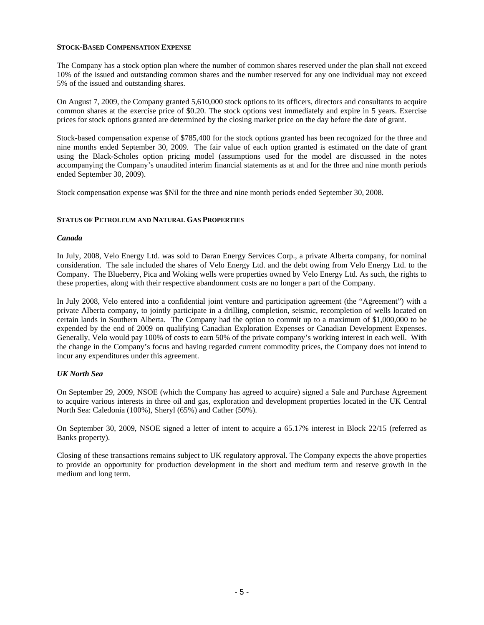## **STOCK-BASED COMPENSATION EXPENSE**

The Company has a stock option plan where the number of common shares reserved under the plan shall not exceed 10% of the issued and outstanding common shares and the number reserved for any one individual may not exceed 5% of the issued and outstanding shares.

On August 7, 2009, the Company granted 5,610,000 stock options to its officers, directors and consultants to acquire common shares at the exercise price of \$0.20. The stock options vest immediately and expire in 5 years. Exercise prices for stock options granted are determined by the closing market price on the day before the date of grant.

Stock-based compensation expense of \$785,400 for the stock options granted has been recognized for the three and nine months ended September 30, 2009. The fair value of each option granted is estimated on the date of grant using the Black-Scholes option pricing model (assumptions used for the model are discussed in the notes accompanying the Company's unaudited interim financial statements as at and for the three and nine month periods ended September 30, 2009).

Stock compensation expense was \$Nil for the three and nine month periods ended September 30, 2008.

## **STATUS OF PETROLEUM AND NATURAL GAS PROPERTIES**

#### *Canada*

In July, 2008, Velo Energy Ltd. was sold to Daran Energy Services Corp., a private Alberta company, for nominal consideration. The sale included the shares of Velo Energy Ltd. and the debt owing from Velo Energy Ltd. to the Company. The Blueberry, Pica and Woking wells were properties owned by Velo Energy Ltd. As such, the rights to these properties, along with their respective abandonment costs are no longer a part of the Company.

In July 2008, Velo entered into a confidential joint venture and participation agreement (the "Agreement") with a private Alberta company, to jointly participate in a drilling, completion, seismic, recompletion of wells located on certain lands in Southern Alberta. The Company had the option to commit up to a maximum of \$1,000,000 to be expended by the end of 2009 on qualifying Canadian Exploration Expenses or Canadian Development Expenses. Generally, Velo would pay 100% of costs to earn 50% of the private company's working interest in each well. With the change in the Company's focus and having regarded current commodity prices, the Company does not intend to incur any expenditures under this agreement.

## *UK North Sea*

On September 29, 2009, NSOE (which the Company has agreed to acquire) signed a Sale and Purchase Agreement to acquire various interests in three oil and gas, exploration and development properties located in the UK Central North Sea: Caledonia (100%), Sheryl (65%) and Cather (50%).

On September 30, 2009, NSOE signed a letter of intent to acquire a 65.17% interest in Block 22/15 (referred as Banks property).

Closing of these transactions remains subject to UK regulatory approval. The Company expects the above properties to provide an opportunity for production development in the short and medium term and reserve growth in the medium and long term.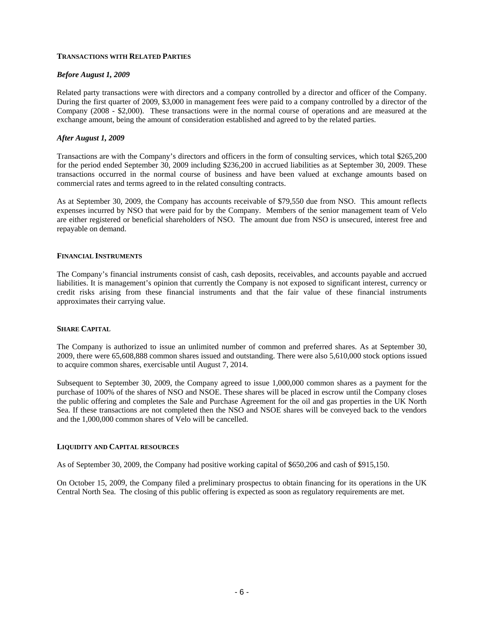## **TRANSACTIONS WITH RELATED PARTIES**

## *Before August 1, 2 009*

Related party transactions were with directors and a company controlled by a director and officer of the Company. During the first quarter of 2009, \$3,000 in management fees were paid to a company controlled by a director of the Company (2008 - \$2,000). These transactions were in the normal course of operations and are measured at the exchange amount, being the amount of consideration established and agreed to by the related parties.

## *After August 1, 20 09*

Transactions are with the Company's directors and officers in the form of consulting services, which total \$265,200 for the period ended September 30, 2009 including \$236,200 in accrued liabilities as at September 30, 2009. These transactions occurred in the normal course of business and have been valued at exchange amounts based on commercial rates and terms agreed to in the related consulting contracts.

As at September 30, 2009, the Company has accounts receivable of \$79,550 due from NSO. This amount reflects expenses incurred by NSO that were paid for by the Company. Members of the senior management team of Velo are either registered or beneficial shareholders of NSO. The amount due from NSO is unsecured, interest free and repayable on demand.

## **FINANCIAL INSTRUMENTS**

The Company's financial instruments consist of cash, cash deposits, receivables, and accounts payable and accrued liabilities. It is management's opinion that currently the Company is not exposed to significant interest, currency or credit risks arising from these financial instruments and that the fair value of these financial instruments approximates their carrying value.

#### **SHARE CAPITAL**

The Company is authorized to issue an unlimited number of common and preferred shares. As at September 30,  $2009$ , there were  $65,608,888$  common shares issued and outstanding. There were also  $5,610,000$  stock options issued to acquire common shares, exercisable until August 7, 2014.

Subsequent to September 30, 2009, the Company agreed to issue 1,000,000 common shares as a payment for the purchase of 100% of the shares of NSO and NSOE. These shares will be placed in escrow until the Company closes the public offering and completes the Sale and Purchase Agreement for the oil and gas properties in the UK North Sea. If these transactions are not completed then the NSO and NSOE shares will be conveyed back to the vendors and the 1,000,000 common shares of Velo will be cancelled.

#### **LIQUIDITY AND CAPITAL RESOURCES**

As of September 30, 2009, the Company had positive working capital of \$650,206 and cash of \$915,150.

On October 15, 2009, the Company filed a preliminary prospectus to obtain financing for its operations in the UK Central North Sea. The closing of this public offering is expected as soon as regulatory requirements are met.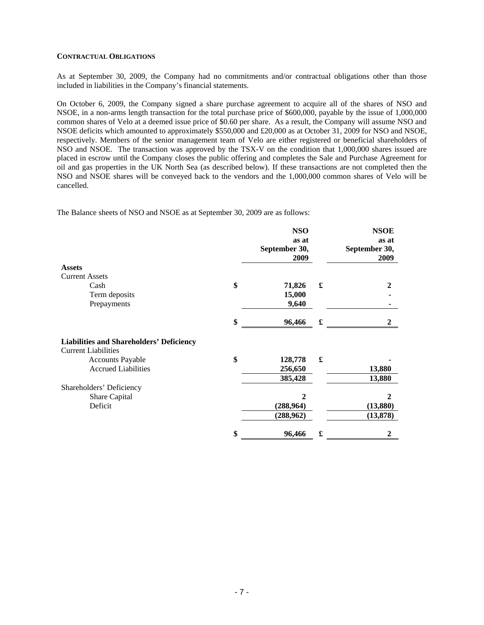## **CONTRACTUAL OBLIGATIONS**

As at September 30, 2009, the Company had no commitments and/or contractual obligations other than those included in liabilities in the Company's financial statements.

On October 6, 2009, the Company signed a share purchase agreement to acquire all of the shares of NSO and NSOE, in a non-arms length transaction for the total purchase price of \$600,000, payable by the issue of 1,000,000 common shares of Velo at a deemed issue price of \$0.60 per share. As a result, the Company will assume NSO and NSOE deficits which amounted to approximately \$550,000 and £20,000 as at October 31, 2009 for NSO and NSOE, respectively. Members of the senior management team of Velo are either registered or beneficial shareholders of NSO and NSOE. The transaction was approved by the TSX-V on the condition that 1,000,000 shares issued are placed in escrow until the Company closes the public offering and completes the Sale and Purchase Agreement for oil and gas properties in the UK North Sea (as described below). If these transactions are not completed then the NSO and NSOE shares will be conveyed back to the vendors and the 1,000,000 common shares of Velo will be cancelled.

The Balance sheets of NSO and NSOE as at September 30, 2009 are as follows:

|                                                 | <b>NSO</b>                     |                      | <b>NSOE</b>                    |
|-------------------------------------------------|--------------------------------|----------------------|--------------------------------|
|                                                 | as at<br>September 30,<br>2009 |                      | as at<br>September 30,<br>2009 |
| <b>Assets</b>                                   |                                |                      |                                |
| <b>Current Assets</b>                           |                                |                      |                                |
| Cash                                            | \$<br>71,826                   | £                    | 2                              |
| Term deposits                                   | 15,000                         |                      |                                |
| Prepayments                                     | 9,640                          |                      |                                |
|                                                 | \$<br>96,466                   |                      | $\overline{2}$                 |
| <b>Liabilities and Shareholders' Deficiency</b> |                                |                      |                                |
| <b>Current Liabilities</b>                      |                                |                      |                                |
| <b>Accounts Payable</b>                         | \$<br>128,778                  | $\pmb{\mathfrak{L}}$ |                                |
| <b>Accrued Liabilities</b>                      | 256,650                        |                      | 13,880                         |
|                                                 | 385,428                        |                      | 13,880                         |
| Shareholders' Deficiency                        |                                |                      |                                |
| Share Capital                                   | 2                              |                      | 2                              |
| Deficit                                         | (288, 964)                     |                      | (13, 880)                      |
|                                                 | (288,962)                      |                      | (13, 878)                      |
|                                                 | \$<br>96,466                   |                      | 2                              |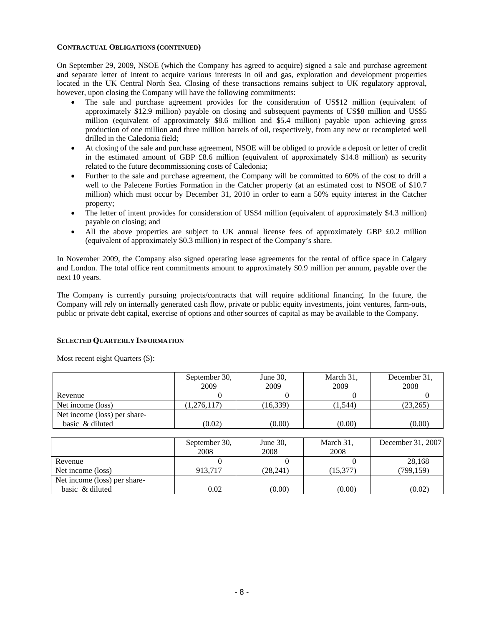#### **CONTRACTUAL OBLIGATIONS (CONTINUED)**

On September 29, 2009, NSOE (which the Company has agreed to acquire) signed a sale and purchase agreement and separate letter of intent to acquire various interests in oil and gas, exploration and development properties however, upon closing the Company will have the following commitments: located in the UK Central North Sea. Closing of these transactions remains subject to UK regulatory approval,

- The sale and purchase agreement provides for the consideration of US\$12 million (equivalent of approximately \$12.9 million) payable on closing and subsequent payments of US\$8 million and US\$5 million (equivalent of approximately \$8.6 million and \$5.4 million) payable upon achieving gross production of one million and three million barrels of oil, respectively, from any new or recompleted well drilled in the Caledonia field;
- At closing of the sale and purchase agreement, NSOE will be obliged to provide a deposit or letter of credit in the estimated amount of GBP  $\pounds 8.6$  million (equivalent of approximately \$14.8 million) as security related to the future decommissioning costs of Caledonia;
- Further to the sale and purchase agreement, the Company will be committed to 60% of the cost to drill a well to the Palecene Forties Formation in the Catcher property (at an estimated cost to NSOE of \$10.7 million) which must occur by December 31, 2010 in order to earn a 50% equity interest in the Catcher property;
- The letter of intent provides for consideration of US\$4 million (equivalent of approximately \$4.3 million) payable on closing; and
- All the above properties are subject to UK annual license fees of approximately GBP £0.2 million (equivalent of approximately \$0.3 million) in respect of the Company's share.

In November 2009, the Company also signed operating lease agreements for the rental of office space in Calgary and London. The total office rent commitments amount to approximately \$0.9 million per annum, payable over the next 10 years.

The Company is currently pursuing projects/contracts that will require additional financing. In the future, the Company will rely on internally generated cash flow, private or public equity investments, joint ventures, farm-outs, public or private debt capital, exercise of options and other sources of capital as may be available to the Company.

## **SELECTED QUARTERLY INFORMATION**

Most recent eight Quarters (\$):

|                              | September 30,<br>2009 | June 30,<br>2009 | March 31,<br>2009 | December 31.<br>2008 |
|------------------------------|-----------------------|------------------|-------------------|----------------------|
|                              |                       |                  |                   |                      |
| Revenue                      |                       |                  |                   |                      |
| Net income (loss)            | (1,276,117)           | (16, 339)        | (1.544)           | (23,265)             |
| Net income (loss) per share- |                       |                  |                   |                      |
| basic & diluted              | (0.02)                | (0.00)           | (0.00)            | (0.00)               |

|                              | September 30,<br>2008 | June 30,<br>2008 | March 31,<br>2008 | December 31, 2007 |
|------------------------------|-----------------------|------------------|-------------------|-------------------|
| Revenue                      |                       |                  |                   | 28,168            |
| Net income (loss)            | 913.717               | (28.241)         | (15,377)          | (799,159)         |
| Net income (loss) per share- |                       |                  |                   |                   |
| basic & diluted              | 0.02                  | (0.00)           | (0.00)            | (0.02)            |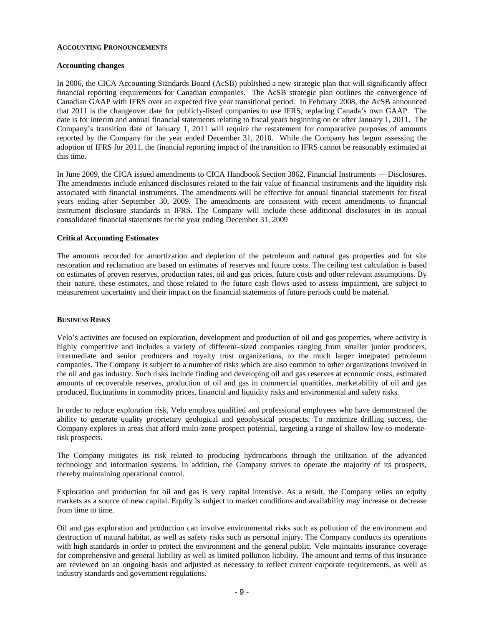## **ACCOUNTING PRONOUNCEMENTS**

#### **Accounting changes**

In 2006, the CICA Accounting Standards Board (AcSB) published a new strategic plan that will significantly affect financial reporting requirements for Canadian companies. The AcSB strategic plan outlines the convergence of Canadian GAAP with IFRS over an expected five year transitional period. In February 2008, the AcSB announced that 2011 is the changeover date for publicly-listed companies to use IFRS, replacing Canada's own GAAP. The date is for interim and annual financial statements relating to fiscal years beginning on or after January 1, 2011. The Company's transition date of January 1, 2011 will require the restatement for comparative purposes of amounts reported by the Company for the year ended December 31, 2010. While the Company has begun assessing the adoption of IFRS for 2011, the financial reporting impact of the transition to IFRS cannot be reasonably estimated at this time.

In June 2009, the CICA issued amendments to CICA Handbook Section 3862, Financial Instruments — Disclosures. The amendments include enhanced disclosures related to the fair value of financial instruments and the liquidity risk associated with financial instruments. The amendments will be effective for annual financial statements for fiscal years ending after September 30, 2009. The amendments are consistent with recent amendments to financial instrument disclosure standards in IFRS. The Company will include these additional disclosures in its annual consolidated financial statements for the year ending December 31, 2009

#### **Critical Accounting Estimates**

The amounts recorded for amortization and depletion of the petroleum and natural gas properties and for site restoration and reclamation are based on estimates of reserves and future costs. The ceiling test calculation is based on estimates of proven reserves, production rates, oil and gas prices, future costs and other relevant assumptions. By their nature, these estimates, and those related to the future cash flows used to assess impairment, are subject to measurement uncertainty and their impact on the financial statements of future periods could be material.

#### **BUSINESS RISKS**

Velo's activities are focused on exploration, development and production of oil and gas properties, where activity is highly competitive and includes a variety of different–sized companies ranging from smaller junior producers, intermediate and senior producers and royalty trust organizations, to the much larger integrated petroleum companies. The Company is subject to a number of risks which are also common to other organizations involved in the oil and gas industry. Such risks include finding and developing oil and gas reserves at economic costs, estimated amounts of recoverable reserves, production of oil and gas in commercial quantities, marketability of oil and gas produced, fluctuations in commodity prices, financial and liquidity risks and environmental and safety risks.

In order to reduce exploration risk, Velo employs qualified and professional employees who have demonstrated the ability to generate quality proprietary geological and geophysical prospects. To maximize drilling success, the Company explores in areas that afford multi-zone prospect potential, targeting a range of shallow low-to-moderaterisk prospects.

The Company mitigates its risk related to producing hydrocarbons through the utilization of the advanced technology and information systems. In addition, the Company strives to operate the majority of its prospects, thereby maintaining operational control.

Exploration and production for oil and gas is very capital intensive. As a result, the Company relies on equity markets as a source of new capital. Equity is subject to market conditions and availability may increase or decrease from time to time.

Oil and gas exploration and production can involve environmental risks such as pollution of the environment and destruction of natural habitat, as well as safety risks such as personal injury. The Company conducts its operations with high standards in order to protect the environment and the general public. Velo maintains insurance coverage for comprehensive and general liability as well as limited pollution liability. The amount and terms of this insurance are reviewed on an ongoing basis and adjusted as necessary to reflect current corporate requirements, as well as industry standards and government regulations.